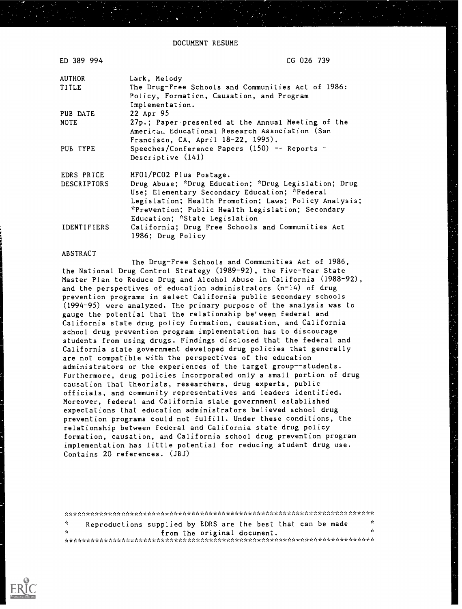DOCUMENT RESUME

| ED 389 994  | CG 026 739                                            |
|-------------|-------------------------------------------------------|
| AUTHOR      | Lark, Melody                                          |
| TITLE       | The Drug-Free Schools and Communities Act of 1986:    |
|             | Policy, Formation, Causation, and Program             |
|             | Implementation.                                       |
| PUB DATE    | 22 Apr 95                                             |
| <b>NOTE</b> | 27p.; Paper presented at the Annual Meeting of the    |
|             | American Educational Research Association (San        |
|             | Francisco, CA, April 18-22, 1995).                    |
| PUB TYPE    | Speeches/Conference Papers $(150)$ -- Reports -       |
|             | Descriptive (141)                                     |
| EDRS PRICE  | MF01/PC02 Plus Postage.                               |
| DESCRIPTORS | Drug Abuse; *Drug Education; *Drug Legislation; Drug  |
|             | Use; Elementary Secondary Education; *Federal         |
|             | Legislation; Health Promotion; Laws; Policy Analysis; |
|             | *Prevention; Public Health Legislation; Secondary     |
|             | Education; *State Legislation                         |
| IDENTIFIERS | California; Drug Free Schools and Communities Act     |
|             | 1986; Drug Policy                                     |

#### ABSTRACT

The Drug-Free Schools and Communities Act of 1986, the National Drug Control Strategy (1989-92), the Five-Year State Master Plan to Reduce Drug and Alcohol Abuse in California (1988-92), and the perspectives of education administrators  $(n=14)$  of drug prevention programs in select California public secondary schools (1994-95) were analyzed. The primary purpose of the analysis was to gauge the potential that the relationship be'ween federal and California state drug policy formation, causation, and California school drug prevention program implementation has to discourage students from using drugs. Findings disclosed that the federal and California state government developed drug policies that generally are not compatible with the perspectives of the education administrators or the experiences of the target group--students. Furthermore, drug policies incorporated only a small portion of drug causation that theorists, researchers, drug experts, public officials, and community representatives and leaders identified. Moreover, federal and California state government established expectations that education administrators believed school drug prevention programs could not fulfill. Under these conditions, the relationship between federal and California state drug policy formation, causation, and California school drug prevention program implementation has little potential for reducing student drug use. Contains 20 references. (JBJ)

\*\*\*\*\*\*\*\*\*\*\*\*\*\*\*\*\*\*\*\*\*\*\*\*\*\*\*\*\*\*\*\*\*\*\*\*\*\*\*\*\*\*i.A-\*AA\*i.i.A.%:..\*:-%.\*\*\*\*\*\*\*\*\*\*\*\*\* Reproductions supplied by EDRS are the best that can be made  $\frac{1}{N}$  $\mathbf{v}_0^{\mathrm{L}}$ Å. from the original document. \*\*\*) \*\*\*\*\*\*\*\*\*\*\*\*\*\*AAAA\*I.AA\*\*\*\*\*\*\*\*\*\*\*\*\*\*AA\*\*\*\*\*\*\*\*\*\*\*\*\*

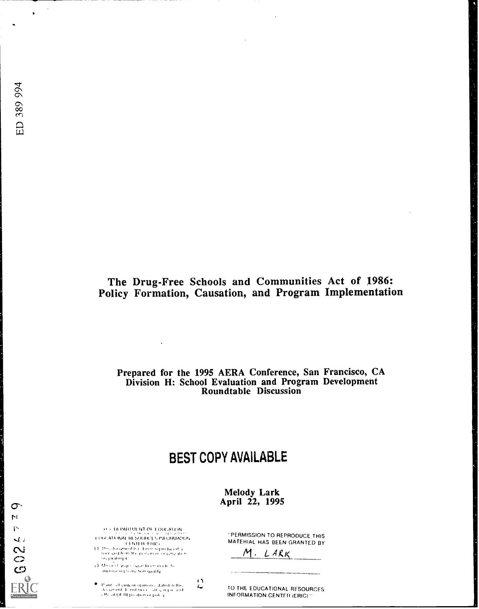$\sigma$  $\mathbf{M}$ r.  $\mathcal{A}$ 

> $\frac{2}{3}$ ග

 $\lambda$ 

# The Drug-Free Schools and Communities Act of 1986: Policy Formation, Causation, and Program Implementation

# Prepared for the 1995 AERA Conference, San Francisco, CA Division H: School Evaluation and Program Development Roundtable Discussion

# BEST COPY AVAILABLE

 $\leftrightarrow$  $\overline{\phantom{a}}$ 

Melody Lark April 22, 1995

1 - III PARTURE NT OF I DUCATION o( .Al lc /NAL ILL \$(1111i(1`, ltI UlIMAIFON

- N (F. ERIC)<br>| الكاس (For a union the Library approximation)<br>| The capal from the person or anyway then <sup>I</sup> II )11,),)
- ) ) 1,1.)51 <sup>I</sup> 11.)), 171 cr. 0. ing over it probe from quality.

. Paint and view or opinions a dated at the design of denoting or any organized.<br>The different OFRI president or pole y

PERMISSION TO REPRODUCE THIS MATERIAL HAS BEEN GRANTED BY

M. LARK

TO THE EDUCATIONAL RESOURCES INFORMATION CENTER (ERIC)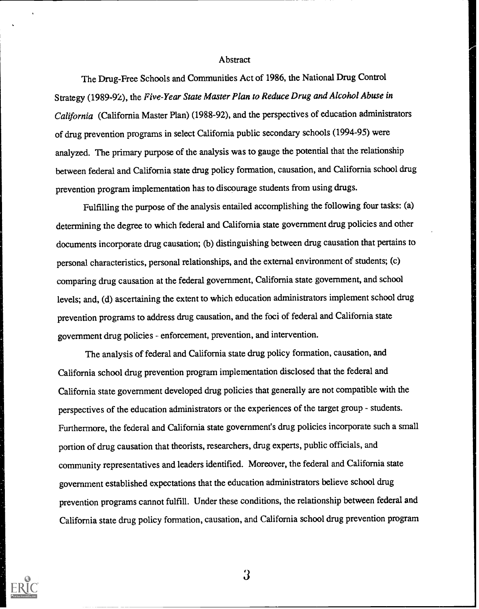#### **Abstract**

The Drug-Free Schools and Communities Act of 1986, the National Drug Control Strategy (1989-92), the Five-Year State Master Plan to Reduce Drug and Alcohol Abuse in California (California Master Plan) (1988-92), and the perspectives of education administrators of drug prevention programs in select California public secondary schools (1994-95) were analyzed. The primary purpose of the analysis was to gauge the potential that the relationship between federal and California state drug policy formation, causation, and California school drug prevention program implementation has to discourage students from using drugs.

Fulfilling the purpose of the analysis entailed accomplishing the following four tasks: (a) determining the degree to which federal and California state government drug policies and other documents incorporate drug causation; (b) distinguishing between drug causation that pertains to personal characteristics, personal relationships, and the external environment of students; (c) comparing drug causation at the federal government, California state government, and school levels; and, (d) ascertaining the extent to which education administrators implement school drug prevention programs to address drug causation, and the foci of federal and California state government drug policies - enforcement, prevention, and intervention.

The analysis of federal and California state drug policy formation, causation, and California school drug prevention program implementation disclosed that the federal and California state government developed drug policies that generally are not compatible with the perspectives of the education administrators or the experiences of the target group - students. Furthermore, the federal and California state government's drug policies incorporate such a small portion of drug causation that theorists, researchers, drug experts, public officials, and community representatives and leaders identified. Moreover, the federal and California state government established expectations that the education administrators believe school drug prevention programs cannot fulfill. Under these conditions, the relationship between federal and California state drug policy formation, causation, and California school drug prevention program

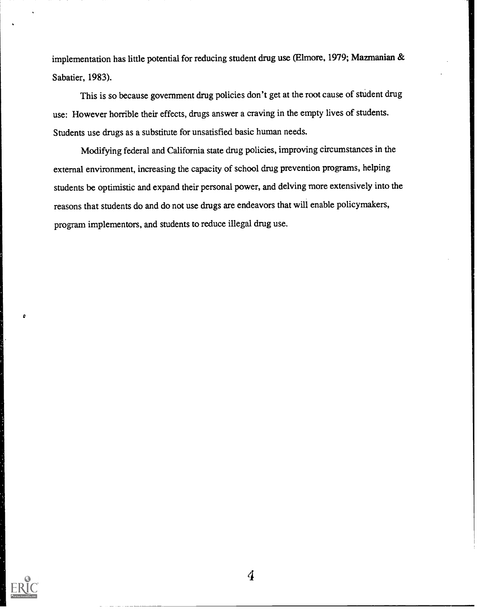implementation has little potential for reducing student drug use (Elmore, 1979; Mazmanian & Sabatier, 1983).

This is so because government drug policies don't get at the root cause of student drug use: However horrible their effects, drugs answer a craving in the empty lives of students. Students use drugs as a substitute for unsatisfied basic human needs.

Modifying federal and California state drug policies, improving circumstances in the external environment, increasing the capacity of school drug prevention programs, helping students be optimistic and expand their personal power, and delving more extensively into the reasons that students do and do not use drugs are endeavors that will enable policymakers, program implementors, and students to reduce illegal drug use.

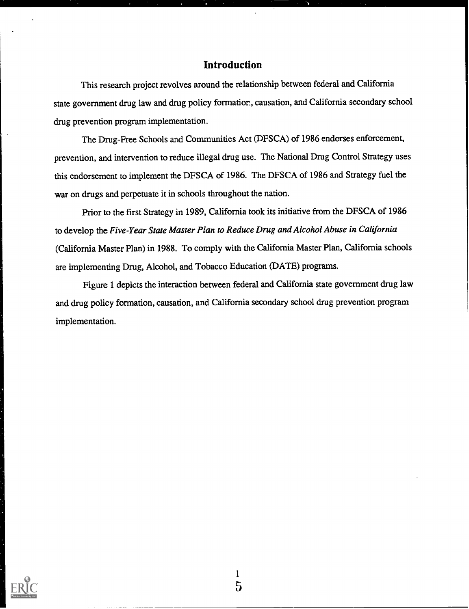## Introduction

This research project revolves around the relationship between federal and California state government drug law and drug policy formation, causation, and California secondary school drug prevention program implementation.

The Drug-Free Schools and Communities Act (DFSCA) of 1986 endorses enforcement, prevention, and intervention to reduce illegal drug use. The National Drug Control Strategy uses this endorsement to implement the DFSCA of 1986. The DFSCA of 1986 and Strategy fuel the war on drugs and perpetuate it in schools throughout the nation.

Prior to the first Strategy in 1989, California took its initiative from the DFSCA of 1986 to develop the Five-Year State Master Plan to Reduce Drug and Alcohol Abuse in California (California Master Plan) in 1988. To comply with the California Master Plan, California schools are implementing Drug, Alcohol, and Tobacco Education (DATE) programs.

Figure 1 depicts the interaction between federal and California state government drug law and drug policy formation, causation, and California secondary school drug prevention program implementation.

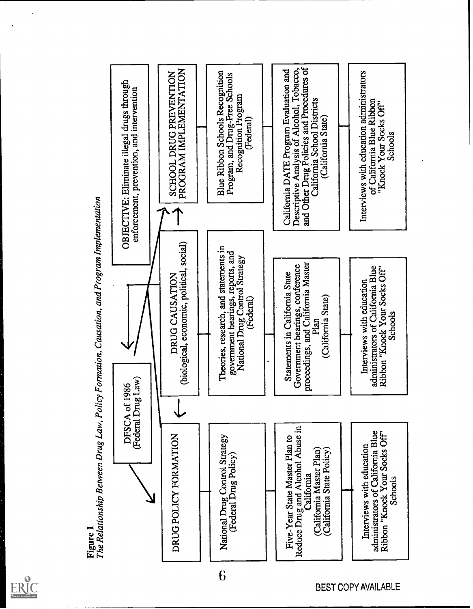



**BEST COPY AVAILABLE**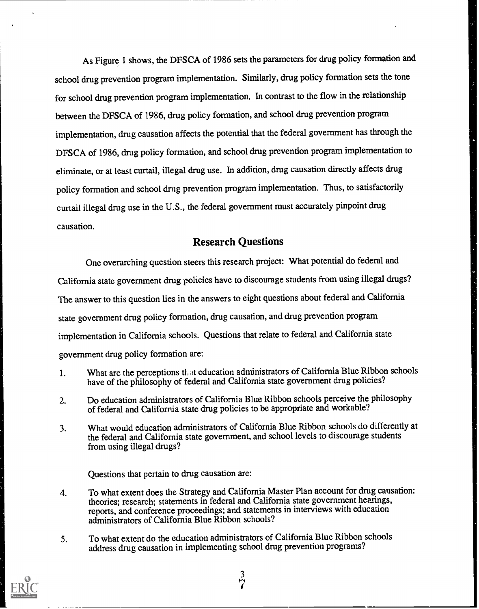As Figure 1 shows, the DFSCA of 1986 sets the parameters for drug policy formation and school drug prevention program implementation. Similarly, drug policy formation sets the tone for school drug prevention program implementation. In contrast to the flow in the relationship between the DFSCA of 1986, drug policy formation, and school drug prevention program implementation, drug causation affects the potential that the federal government has through the DFSCA of 1986, drug policy formation, and school drug prevention program implementation to eliminate, or at least curtail, illegal drug use. In addition, drug causation directly affects drug policy formation and school drng prevention program implementation. Thus, to satisfactorily curtail illegal drug use in the U.S., the federal government must accurately pinpoint drug causation.

# Research Questions

One overarching question steers this research project: What potential do federal and California state government drug policies have to discourage students from using illegal drugs? The answer to this question lies in the answers to eight questions about federal and California state government drug policy formation, drug causation, and drug prevention program implementation in California schools. Questions that relate to federal and California state government drug policy formation are:

- 1. What are the perceptions that education administrators of California Blue Ribbon schools have of the philosophy of federal and California state government drug policies?
- 2. Do education administrators of California Blue Ribbon schools perceive the philosophy of federal and California state drug policies to be appropriate and workable?
- 3. What would education administrators of California Blue Ribbon schools do differently at the federal and California state government, and school levels to discourage students from using illegal drugs?

Questions that pertain to drug causation are:

- 4. To what extent does the Strategy and California Master Plan account for drug causation: theories; research; statements in federal and California state government hearings, reports, and conference proceedings; and statements in interviews with education administrators of California Blue Ribbon schools?
- 5. To what extent do the education administrators of California Blue Ribbon schools address drug causation in implementing school drug prevention programs?



3 P^/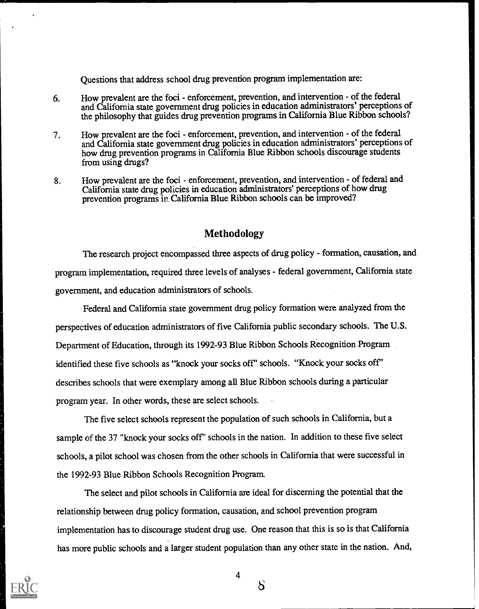Questions that address school drug prevention program implementation are:

- 6. How prevalent are the foci enforcement, prevention, and intervention of the federal and California state government drug policies in education administrators' perceptions of the philosophy that guides drug prevention programs in California Blue Ribbon schools?
- 7. How prevalent are the foci enforcement, prevention, and intervention of the federal and California state government drug policies in education administrators' perceptions of how drug prevention programs in California Blue Ribbon schools discourage students from using drugs?
- 8. How prevalent are the foci enforcement, prevention, and intervention of federal and California state drug policies in education administrators' perceptions of how drug prevention programs in. California Blue Ribbon schools can be improved?

### Methodology

The research project encompassed three aspects of drug policy - formation, causation, and program implementation, required three levels of analyses - federal government, California state government, and education administrators of schools.

Federal and California state government drug policy formation were analyzed from the perspectives of education administrators of five California public secondary schools. The U.S. Department of Education, through its 1992-93 Blue Ribbon Schools Recognition Program identified these five schools as "knock your socks off' schools. "Knock your socks off" describes schools that were exemplary among all Blue Ribbon schools during a particular program year. In other words, these are select schools.

The five select schools represent the population of such schools in California, but a sample of the 37 "knock your socks off' schools in the nation. In addition to these five select schools, a pilot school was chosen from the other schools in California that were successful in the 1992-93 Blue Ribbon Schools Recognition Program.

The select and pilot schools in California are ideal for discerning the potential that the relationship between drug policy formation, causation, and school prevention program implementation has to discourage student drng use. One reason that this is so is that California has more public schools and a larger student population than any other state in the nation. And,

4

 $\delta$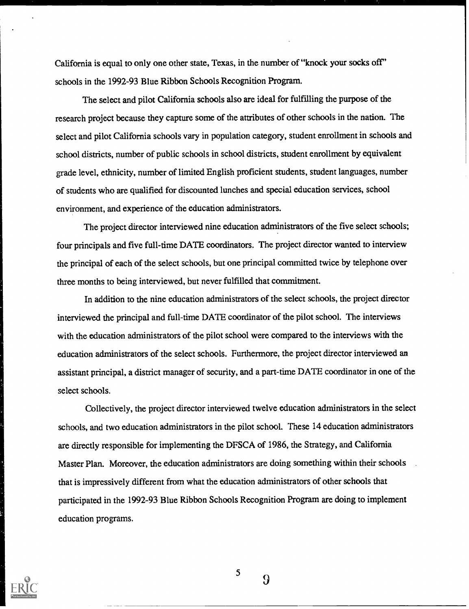California is equal to only one other state, Texas, in the number of "knock your socks off' schools in the 1992-93 Blue Ribbon Schools Recognition Program.

The select and pilot California schools also are ideal for fulfilling the purpose of the research project because they capture some of the attributes of other schools in the nation. The select and pilot California schools vary in population category, student enrollment in schools and school districts, number of public schools in school districts, student enrollment by equivalent grade level, ethnicity, number of limited English proficient students, student languages, number of students who are qualified for discounted lunches and special education services, school environment, and experience of the education administrators.

The project director interviewed nine education administrators of the five select schools; four principals and five full-time DATE coordinators. The project director wanted to interview the principal of each of the select schools, but one principal committed twice by telephone over three months to being interviewed, but never fulfilled that commitment.

In addition to the nine education administrators of the select schools, the project director interviewed the principal and full-time DATE coordinator of the pilot school. The interviews with the education administrators of the pilot school were compared to the interviews with the education administrators of the select schools. Furthermore, the project director interviewed an assistant principal, a district manager of security, and a part-time DATE coordinator in one of the select schools.

Collectively, the project director interviewed twelve education administrators in the select schools, and two education administrators in the pilot school. These 14 education administrators are directly responsible for implementing the DFSCA of 1986, the Strategy, and California Master Plan. Moreover, the education administrators are doing something within their schools that is impressively different from what the education administrators of other schools that participated in the 1992-93 Blue Ribbon Schools Recognition Program are doing to implement education programs.



5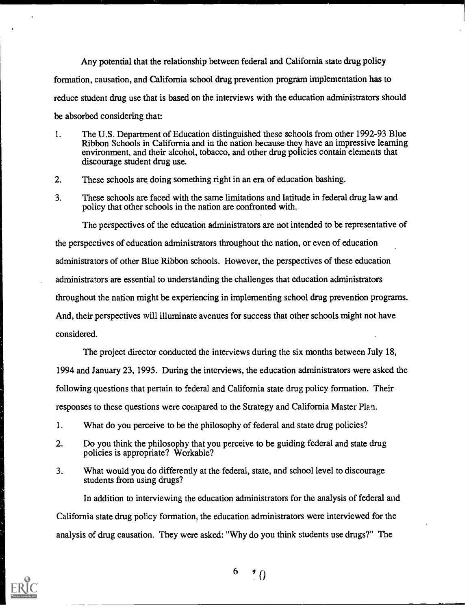Any potential that the relationship between federal and California state drug policy formation, causation, and California school drug prevention program implementation has to reduce student drug use that is based on the interviews with the education administrators should be absorbed considering that:

- 1. The U.S. Department of Education distinguished these schools from other 1992-93 Blue Ribbon Schools in California and in the nation because they have an impressive learning environment, and their alcohol, tobacco, and other drug policies contain elements that discourage student drug use.
- 2. These schools are doing something right in an era of education bashing.
- 3. These schools are faced with the same limitations and latitude in federal drug law and policy that other schools in the nation are confronted with.

The perspectives of the education administrators are not intended to be representative of the perspectives of education administrators throughout the nation, or even of education administrators of other Blue Ribbon schools. However, the perspectives of these education administrators are essential to understanding the challenges that education administrators throughout the nation might be experiencing in implementing school drug prevention programs. And, their perspectives will illuminate avenues for success that other schools might not have considered.

The project director conducted the interviews during the six months between July 18, 1994 and January 23, 1995. During the interviews, the education administrators were asked the following questions that pertain to federal and California state drug policy formation. Their responses to these questions were compared to the Strategy and California Master Plan.

- 1. What do you perceive to be the philosophy of federal and state drug policies?
- 2. Do you think the philosophy that you perceive to be guiding federal and state drug policies is appropriate? Workable?
- 3. What would you do differently at the federal, state, and school level to discourage students from using drugs?

In addition to interviewing the education administrators for the analysis of federal and California state drug policy formation, the education administrators were interviewed for the analysis of drug causation. They were asked: "Why do you think students use drugs?" The



 $6 \rightarrow 0$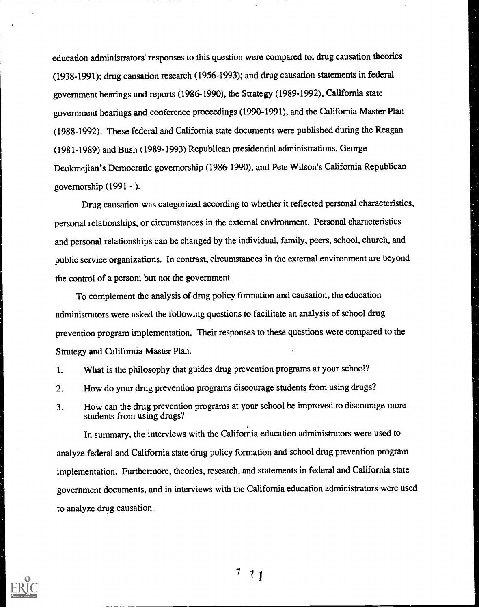education administrators' responses to this question were compared to: drug causation theories (1938-1991); drug causation research (1956-1993); and drug causation statements in federal government hearings and reports (1986-1990), the Strategy (1989-1992), California state government hearings and conference proceedings (1990-1991), and the California Master Plan (1988-1992). These federal and California state documents were published during the Reagan (1981-1989) and Bush (1989-1993) Republican presidential administrations, George Deukmejian's Democratic governorship (1986-1990), and Pete Wilson's California Republican governorship  $(1991 - )$ .

Drug causation was categorized according to whether it reflected personal characteristics, personal relationships, or circumstances in the external environment. Personal characteristics and personal relationships can be changed by the individual, family, peers, school, church, and public service organizations. In contrast, circumstances in the external environment are beyond the control of a person; but not the government.

To complement the analysis of drug policy formation and causation, the education administrators were asked the following questions to facilitate an analysis of school drug prevention program implementation. Their responses to these questions were compared to the Strategy and California Master Plan.

- 1. What is the philosophy that guides drug prevention programs at your school?
- 2. How do your drug prevention programs discourage students from using drugs?
- 3. How can the drug prevention programs at your school be improved to discourage more students from using drugs?

In summary, the interviews with the California education administrators were used to analyze federal and California state drug policy formation and school drug prevention program implementation. Furthermore, theories, research, and statements in federal and California state government documents, and in interviews with the California education administrators were used to analyze drug causation.

 $7<sub>1</sub>$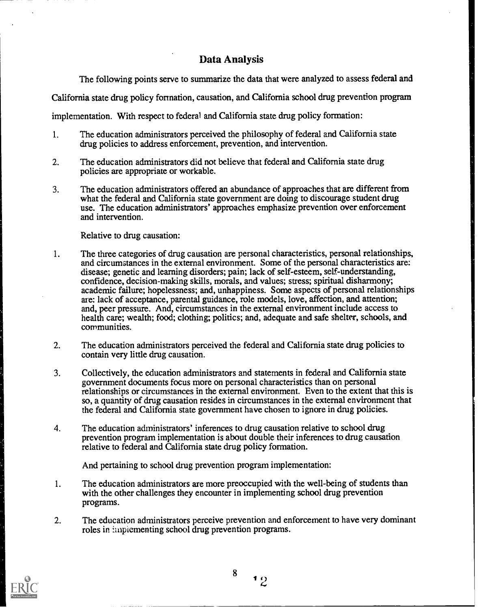# Data Analysis

The following points serve to summarize the data that were analyzed to assess federal and

California state drug policy formation, causation, and California school drug prevention program

implementation. With respect to federal and California state drug policy formation:

- 1. The education administrators perceived the philosophy of federal and California state drug policies to address enforcement, prevention, and intervention.
- 2. The education administrators did not believe that federal and California state drug policies are appropriate or workable.
- 3. The education administrators offered an abundance of approaches that are different from what the federal and California state government are doing to discourage student drug use. The education administrators' approaches emphasize prevention over enforcement and intervention.

Relative to drug causation:

- 1. The three categories of drug causation are personal characteristics, personal relationships, and circumstances in the external environment. Some of the personal characteristics are: disease; genetic and learning disorders; pain; lack of self-esteem, self-understanding, confidence, decision-making skills, morals, and values; stress; spiritual disharmony; academic failure; hopelessness; and, unhappiness. Some aspects of personal relationships are: lack of acceptance, parental guidance, role models, love, affection, and attention; and, peer pressure. And, circumstances in the external environment include access to health care; wealth; food; clothing; politics; and, adequate and safe shelter, schools, and communities.
- 2. The education administrators perceived the federal and California state drug policies to contain very little drug causation.
- 3. Collectively, the education administrators and statements in federal and California state government documents focus more on personal characteristics than on personal relationships or circumstances in the external environment. Even to the extent that this is so, a quanfity of drug causation resides in circumstances in the external environment that the federal and California state government have chosen to ignore in drug policies.
- 4. The education administrators' inferences to drug causation relative to school drug prevention program implementation is about double their inferences to drug causation relative to federal and California state drug policy formation.

And pertaining to school drug prevention program implementation:

- 1. The education administrators are more preoccupied with the well-being of students than with the other challenges they encounter in implementing school drug prevention programs.
- 2. The education administrators perceive prevention and enforcement to have very dominant roles in implementing school drug prevention programs.



8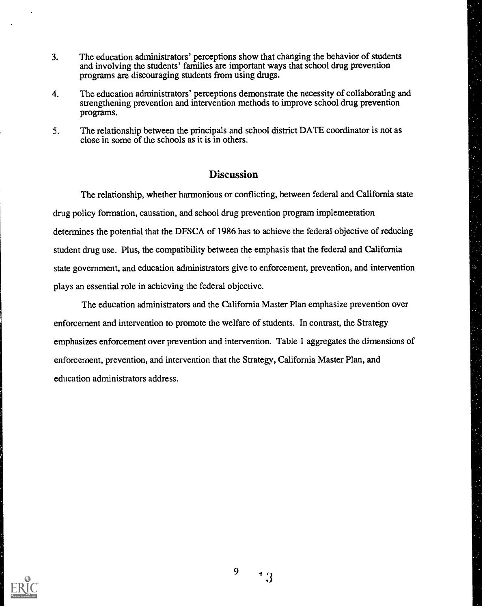- 3. The education administrators' perceptions show that changing the behavior of students and involving the students' families are important ways that school drug prevention programs are discouraging students from using drugs.
- 4. The education administrators' perceptions demonstrate the necessity of collaborating and strengthening prevention and intervention methods to improve school drug prevention programs.
- 5. The relationship between the principals and school district DATE coordinator is not as close in some of the schools as it is in others.

# **Discussion**

The relationship, whether harmonious or conflicting, between federal and California state drug policy formation, causation, and school drug prevention program implementation determines the potential that the DFSCA of 1986 has to achieve the federal objective of reducing student drug use. Plus, the compatibility between the emphasis that the federal and California state government, and education administrators give to enforcement, prevention, and intervention plays an essential role in achieving the federal objective.

The education administrators and the California Master Plan emphasize prevention over enforcement and intervention to promote the welfare of students. In contrast, the Strategy emphasizes enforcement over prevention and intervention. Table 1 aggregates the dimensions of enforcement, prevention, and intervention that the Strategy, California Master Plan, and education administrators address.

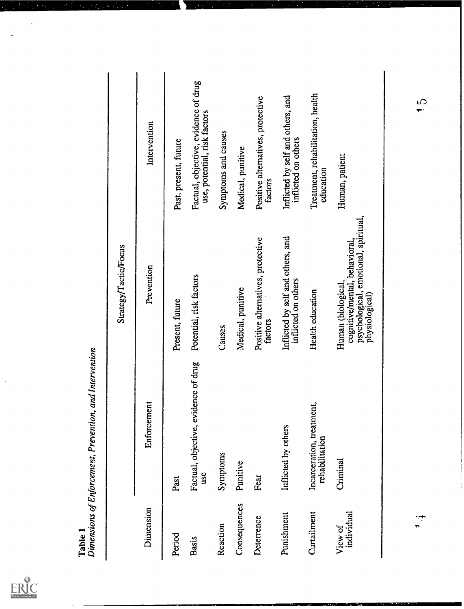

J.

Ï

|                       |                                             | Strategy/Tactic/Focus                                                                                         |                                                                      |
|-----------------------|---------------------------------------------|---------------------------------------------------------------------------------------------------------------|----------------------------------------------------------------------|
| Dimension             | Enforcement                                 | Prevention                                                                                                    | Intervention                                                         |
| Period                | Past                                        | Present, future                                                                                               | Past, present, future                                                |
| <b>Basis</b>          | Factual, objective, evidence of drug<br>use | Potential, risk factors                                                                                       | Factual, objective, evidence of drug<br>use, potential, risk factors |
| Reaction              | Symptoms                                    | Causes                                                                                                        | Symptoms and causes                                                  |
| Consequences          | Punitive                                    | Medical, punitive                                                                                             | Medical, punitive                                                    |
| Deterrence            | Fear                                        | Positive alternatives, protective<br>factors                                                                  | Positive alternatives, protective<br>factors                         |
| Punishment            | Inflicted by others                         | Inflicted by self and others, and<br>inflicted on others                                                      | Inflicted by self and others, and<br>inflicted on others             |
| Curtailment           | Incarceration, treatment,<br>rehabilitation | Health education                                                                                              | Treatment, rehabilitation, health<br>education                       |
| individual<br>View of | Criminal                                    | psychological, emotional, spiritual,<br>cognitive/mental, behavioral,<br>Human (biological,<br>physiological) | Human, patient                                                       |
|                       |                                             |                                                                                                               |                                                                      |

 $\mathbb{R}_+$ 

<u>ris</u>

 $\sum_{i=1}^{n}$ 

 $\frac{1}{4}$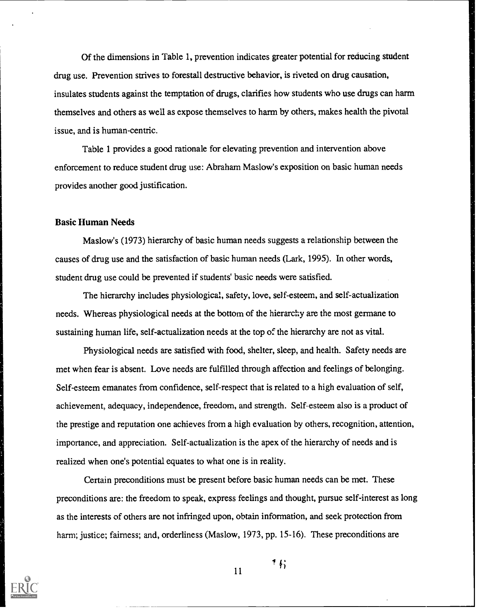Of the dimensions in Table 1, prevention indicates greater potential for reducing student drug use. Prevention strives to forestall destructive behavior, is riveted on drug causation, insulates students against the temptation of drugs, clarifies how students who use drugs can harm themselves and others as well as expose themselves to harm by others, makes health the pivotal issue, and is human-centric.

Table 1 provides a good rationale for elevating prevention and intervention above enforcement to reduce student drug use: Abraham Maslow's exposition on basic human needs provides another good justification.

#### Basic Human Needs

Maslow's (1973) hierarchy of basic human needs suggests a relationship between the causes of drug use and the satisfaction of basic human needs (Lark, 1995). In other words, student drug use could be prevented if students' basic needs were satisfied.

The hierarchy includes physiological, safety, love, self-esteem, and self-actualization needs. Whereas physiological needs at the bottom of the hierarchy are the most germane to sustaining human life, self-actualization needs at the top of the hierarchy are not as vital.

Physiological needs are satisfied with food, shelter, sleep, and health. Safety needs are met when fear is absent. Love needs are fulfilled through affection and feelings of belonging. Self-esteem emanates from confidence, self-respect that is related to a high evaluation of self, achievement, adequacy, independence, freedom, and strength. Self-esteem also is a product of the prestige and reputation one achieves from a high evaluation by others, recognition, attention, importance, and appreciation. Self-actualization is the apex of the hierarchy of needs and is realized when one's potential equates to what one is in reality.

Certain preconditions must be present before basic human needs can be met. These preconditions are: the freedom to speak, express feelings and thought, pursue self-interest as long as the interests of others are not infringed upon, obtain information, and seek protection from harm; justice; fairness; and, orderliness (Maslow, 1973, pp. 15-16). These preconditions are



11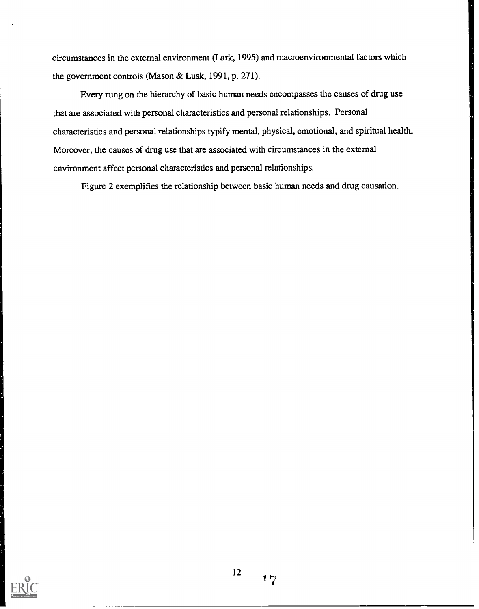circumstances in the external environment (Lark, 1995) and macroenvironmental factors which the government controls (Mason & Lusk, 1991, p. 271).

Every rung on the hierarchy of basic human needs encompasses the causes of drug use that are associated with personal characteristics and personal relationships. Personal characteristics and personal relationships typify mental, physical, emotional, and spiritual health. Moreover, the causes of drug use that are associated with circumstances in the external environment affect personal characteristics and personal relationships.

Figure 2 exemplifies the relationship between basic human needs and drug causation.

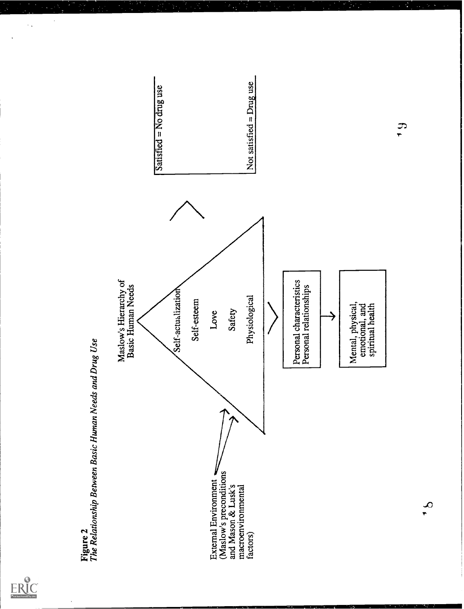



÷,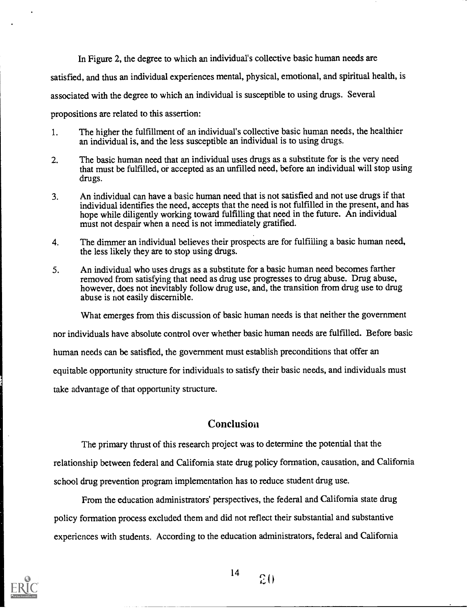In Figure 2, the degree to which an individual's collective basic human needs are satisfied, and thus an individual experiences mental, physical, emotional, and spiritual health, is associated with the degree to which an individual is susceptible to using drugs. Several propositions are related to this assertion:

- 1. The higher the fulfillment of an individual's collective basic human needs, the healthier an individual is, and the less susceptible an individual is to using drugs.
- 2. The basic human need that an individual uses drugs as a substitute for is the very need that must be fulfilled, or accepted as an unfilled need, before an individual will stop using drugs.
- 3. An individual can have a basic human need that is not satisfied and not use drugs if that individual identifies the need, accepts that the need is not fulfilled in the present, and has hope while diligently working toward fulfilling that need in the future. An individual must not despair when a need is not immediately gratified.
- 4. The dimmer an individual believes their prospects are for fulfilling a basic human need, the less likely they are to stop using drugs.
- 5. An individual who uses drugs as a substitute for a basic human need becomes farther removed from satisfying that need as drug use progresses to drug abuse. Drug abuse, however, does not inevitably follow drug use, and, the transition from drug use to drug abuse is not easily discernible.

What emerges from this discussion of basic human needs is that neither the government

nor individuals have absolute control over whether basic human needs are fulfilled. Before basic

human needs can be satisfied, the government must establish preconditions that offer an

equitable opportunity structure for individuals to satisfy their basic needs, and individuals must

take advantage of that opportunity structure.

## **Conclusion**

The primary thrust of this research project was to determine the potential that the relationship between federal and California state drug policy formation, causation, and California school drug prevention program implementation has to reduce student drug use.

From the education administrators' perspectives, the federal and California state drug policy formation process excluded them and did not reflect their substantial and substantive experiences with students. According to the education administrators, federal and California

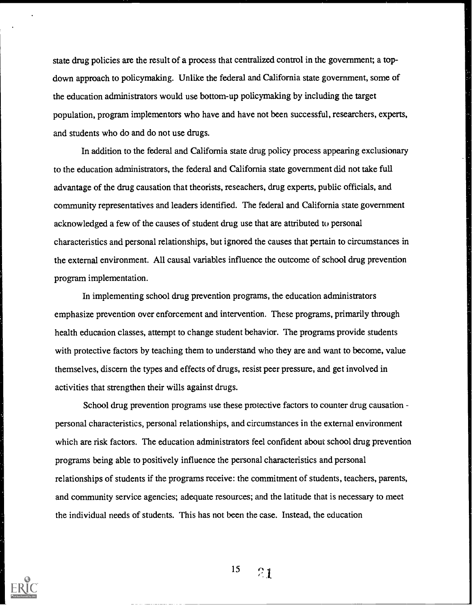state drug policies are the result of a process that centralized control in the government; a topdown approach to policymaking. Unlike the federal and California state government, some of the education administrators would use bottom-up policymaking by including the target population, program implementors who have and have not been successful, researchers, experts, and students who do and do not use drugs.

In addition to the federal and California state drug policy process appearing exclusionary to the education administrators, the federal and California state government did not take full advantage of the drug causation that theorists, reseachers, drug experts, public officials, and community representatives and leaders identified. The federal and California state government acknowledged a few of the causes of student drug use that are attributed to personal characteristics and personal relationships, but ignored the causes that pertain to circumstances in the external environment. All causal variables influence the outcome of school drug prevention program implementation.

In implementing school drug prevention programs, the education administrators emphasize prevention over enforcement and intervention. These programs, primarily through health education classes, attempt to change student behavior. The programs provide students with protective factors by teaching them to understand who they are and want to become, value themselves, discern the types and effects of drugs, resist peer pressure, and get involved in activities that strengthen their wills against drugs.

School drug prevention programs use these protective factors to counter drug causation personal characteristics, personal relationships, and circumstances in the external environment which are risk factors. The education administrators feel confident about school drug prevention programs being able to positively influence the personal characteristics and personal relationships of students if the programs receive: the commitment of students, teachers, parents, and community service agencies; adequate resources; and the latitude that is necessary to meet the individual needs of students. This has not been the case. Instead, the education

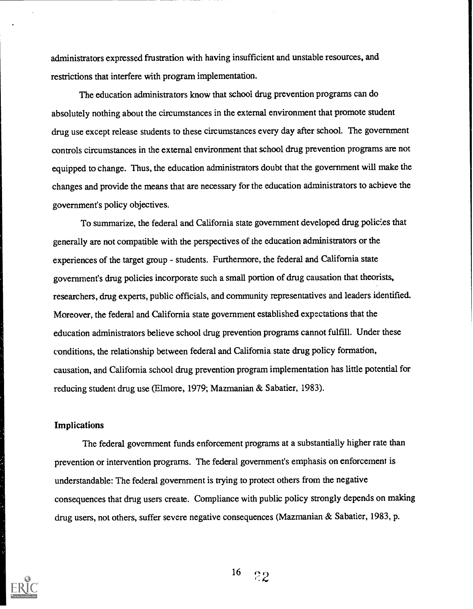administrators expressed frustration with having insufficient and unstable resources, and restrictions that interfere with program implementation.

The education administrators know that school drug prevention programs can do absolutely nothing about the circumstances in the external environment that promote student drug use except release students to these circumstances every day after school. The government controls circumstances in the external environment that school drug prevention programs are not equipped to change. Thus, the education administrators doubt that the government will make the changes and provide the means that are necessary for the education administrators to achieve the government's policy objectives.

To summarize, the federal and California state government developed drug policies that generally are not compatible with the perspectives of the education administrators or the experiences of the target group - students. Furthermore, the federal and California state government's drug policies incorporate such a small portion of drug causation that theorists, researchers, drug experts, public officials, and community representatives and leaders identified. Moreover, the federal and California state government established expectations that the education administrators believe school drug prevention programs cannot fulfill. Under these conditions, the relationship between federal and California state drug policy formation, causation, and California school drug prevention program implementation has little potential for reducing student drug use (Elmore, 1979; Mazmanian & Sabatier, 1983).

#### **Implications**

The federal government funds enforcement programs at a substantially higher rate than prevention or intervention programs. The federal government's emphasis on enforcement is understandable: The federal government is trying to protect others from the negative consequences that drug users create. Compliance with public policy strongly depends on making drug users, not others, suffer severe negative consequences (Mazmanian & Sabatier, 1983, p.

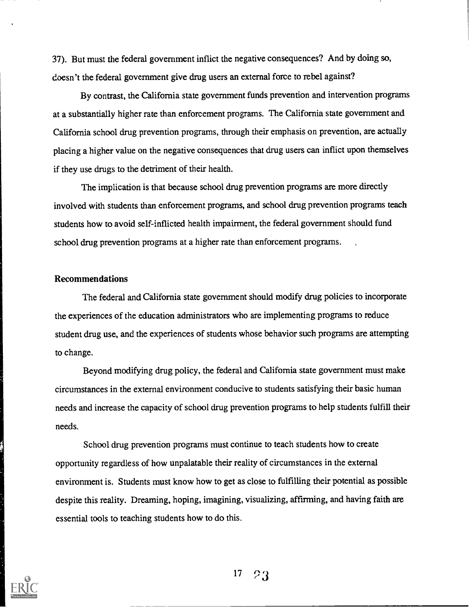37). But must the federal government inflict the negative consequences? And by doing so, doesn't the federal government give drug users an external force to rebel against?

By contrast, the California state government funds prevention and intervention programs at a substantially higher rate than enforcement programs. The California state government and California school drug prevention programs, through their emphasis on prevention, are actually placing a higher value on the negative consequences that drug users can inflict upon themselves if they use drugs to the detriment of their health.

The implication is that because school drug prevention programs are more directly involved with students than enforcement programs, and school drug prevention programs teach students how to avoid self-inflicted health impairment, the federal government should fund school drug prevention programs at a higher rate than enforcement programs.

#### Recommendations

The federal and California state government should modify drug policies to incorporate the experiences of the education administrators who are implementing programs to reduce student drug use, and the experiences of students whose behavior such programs are attempting to change.

Beyond modifying drug policy, the federal and California state government must make circumstances in the external environment conducive to students satisfying their basic human needs and increase the capacity of school drug prevention programs to help students fulfill their needs.

School drug prevention programs must continue to teach students how to create opportunity regardless of how unpalatable their reality of circumstances in the external environment is. Students must know how to get as close to fulfilling their potential as possible despite this reality. Dreaming, hoping, imagining, visualizing, affirming, and having faith are essential tools to teaching students how to do this.

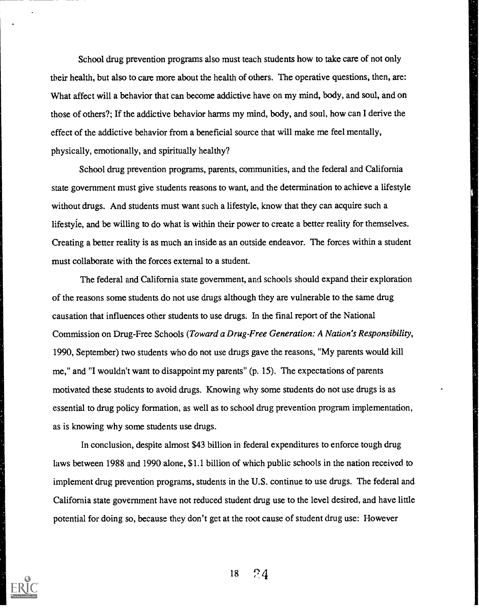School drug prevention programs also must teach students how to take care of not only their health, but also to care more about the health of others. The operative questions, then, are: What affect will a behavior that can become addictive have on my mind, body, and soul, and on those of others?; If the addictive behavior harms my mind, body, and soul, how can I derive the effect of the addictive behavior from a beneficial source that will make me feel mentally, physically, emotionally, and spiritually healthy?

School drug prevention programs, parents, communities, and the federal and California state government must give students reasons to want, and the determination to achieve a lifestyle without drugs. And students must want such a lifestyle, know that they can acquire such a lifestyie, and be willing to do what is within their power to create a better reality for themselves. Creating a better reality is as much an inside as an outside endeavor. The forces within a student must collaborate with the forces external to a student.

The federal and California state government, and schools should expand their exploration of the reasons some students do not use drugs although they are vulnerable to the same drug causation that influences other students to use drugs. In the final report of the National Commission on Drug-Free Schools (Toward a Drug-Free Generation: A Nation's Responsibility, 1990, September) two students who do not use drugs gave the reasons, "My parents would kill me," and "I wouldn't want to disappoint my parents" (p. 15). The expectations of parents motivated these students to avoid drugs. Knowing why some students do not use drugs is as essential to drug policy formation, as well as to school drug prevention program implementation, as is knowing why some students use drugs.

In conclusion, despite almost \$43 billion in federal expenditures to enforce tough drug laws between 1988 and 1990 alone, \$1.1 billion of which public schools in the nation received to implement drug prevention programs, students in the U.S. continue to use drugs. The federal and California state government have not reduced student drug use to the level desired, and have little potential for doing so, because they don't get at the root cause of student drug use: However



 $18 \t 74$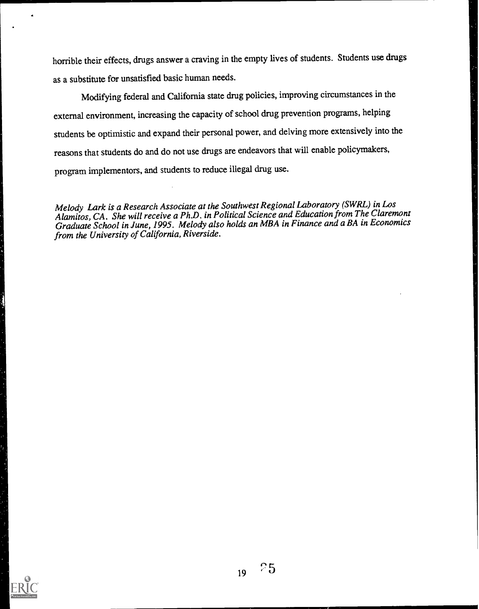horrible their effects, drugs answer a craving in the empty lives of students. Students use drugs as a substitute for unsatisfied basic human needs.

Modifying federal and California state drug policies, improving circumstances in the external environment, increasing the capacity of school drug prevention programs, helping students be optimistic and expand their personal power, and delving more extensively into the reasons that students do and do not use drugs are endeavors that will enable policymakers, program implementors, and students to reduce illegal drug use.

Melody Lark is a Research Associate at the Southwest Regional Laboratory (SWRL) in Los Alamitos, CA. She will receive a Ph.D. in Political Science and Education from The Claremont Graduate School in June, 1995. Melody also holds an MBA in Finance and a BA in Economics from the University of California, Riverside.

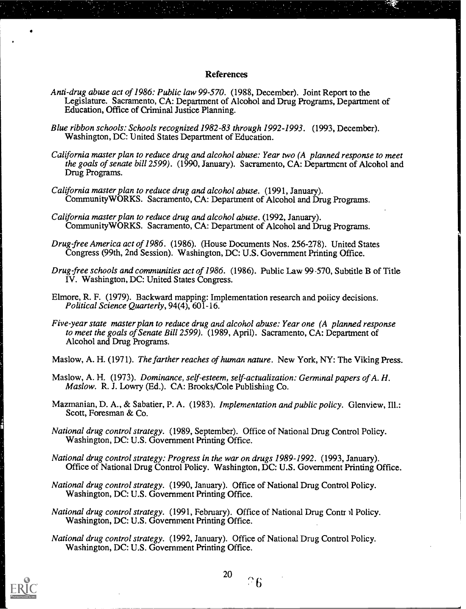#### References

- Anti-drug abuse act of 1986: Public law 99-570. (1988, December). Joint Report to the Legislature. Sacramento, CA: Department of Alcohol and Drug Programs, Department of Education, Office of Criminal Justice Planning.
- Blue ribbon schools: Schools recognized 1982-83 through 1992-1993. (1993, December). Washington, DC: United States Department of Education.
- California master plan to reduce drug and alcohol abuse: Year two (A planned response to meet the goals of senate bill 2599). (1990, January). Sacramento,  $CA$ : Department of Alcohol and Drug Programs.
- California master plan to reduce drug and alcohol abuse. (1991, January). CommunityWORKS. Sacramento, CA: Department of Alcohol and Drug Programs.
- California master plan to reduce drug and alcohol abuse. (1992, January). CommunityWORKS. Sacramento, CA: Department of Alcohol and Drug Programs.
- Drug-free America act of 1986. (1986). (House Documents Nos. 256-278). United States Congress (99th, 2nd Session). Washington, DC: U.S. Government Printing Office.
- Drug-free schools and communities act of 1986. (1986). Public Law 99 -570, Subtitle B of Title IV. Washington, DC: United States Congress.
- Elmore, R. F. (1979). Backward mapping: Implementation research and poiicy decisions. Political Science Quarterly, 94(4), 601-16.
- Five-year state master plan to reduce drug and alcohol abuse: Year one (A planned response to meet the goals of Senate Bill 2599). (1989, April). Sacramento, CA: Department of Alcohol and Drug Programs.
- Maslow, A. H. (1971). The farther reaches of human nature. New York, NY: The Viking Press.
- Maslow, A. H. (1973). Dominance, self-esteem, self-actualization: Germinal papers of A. H. Maslow. R. J. Lowry (Ed.). CA: Brooks/Cole Publishing Co.
- Mazmanian, D. A., & Sabatier, P. A. (1983). Implementation and public policy. Glenview, Ill.: Scott, Foresman & Co.
- National drug control strategy. (1989, September). Office of National Drug Control Policy. Washington, DC: U.S. Government Printing Office.
- National drug control strategy: Progress in the war on drugs 1989-1992. (1993, January). Office of National Drug Control Policy. Washington, DC: U.S. Government Printing Office.
- National drug control strategy. (1990, January). Office of National Drug Control Policy. Washington, DC: U.S. Government Printing Office.
- National drug control strategy. (1991, February). Office of National Drug Contr )1 Policy. Washington, DC: U.S. Government Printing Office.
- National drug control strategy. (1992, January). Office of National Drug Control Policy. Washington, DC: U.S. Government Printing Office.



 $\overline{26}$